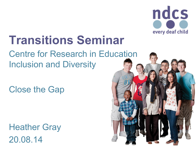

### **Transitions Seminar**

#### Centre for Research in Education Inclusion and Diversity

Close the Gap

Heather Gray 20.08.14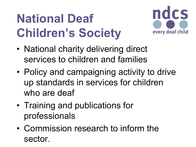# **National Deaf Children's Society**



- National charity delivering direct services to children and families
- Policy and campaigning activity to drive up standards in services for children who are deaf
- Training and publications for professionals
- Commission research to inform the sector.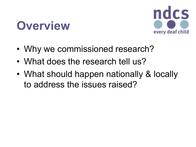### **Overview**



- Why we commissioned research?
- What does the research tell us?
- What should happen nationally & locally to address the issues raised?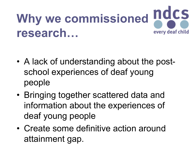### Why we commissioned **ndcs research…** every deaf child

- A lack of understanding about the postschool experiences of deaf young people
- Bringing together scattered data and information about the experiences of deaf young people
- Create some definitive action around attainment gap.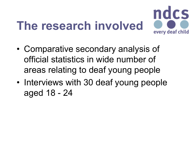# **The research involved**



- Comparative secondary analysis of official statistics in wide number of areas relating to deaf young people
- Interviews with 30 deaf young people aged 18 - 24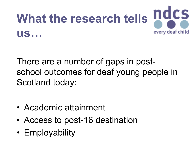

There are a number of gaps in postschool outcomes for deaf young people in Scotland today:

- Academic attainment
- Access to post-16 destination
- Employability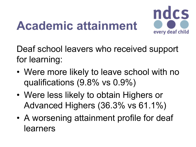### **Academic attainment**



Deaf school leavers who received support for learning:

- Were more likely to leave school with no qualifications (9.8% vs 0.9%)
- Were less likely to obtain Highers or Advanced Highers (36.3% vs 61.1%)
- A worsening attainment profile for deaf learners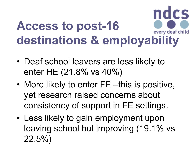#### ndcs **Access to post-16**  every deaf child **destinations & employability**

- Deaf school leavers are less likely to enter HE (21.8% vs 40%)
- More likely to enter FE –this is positive, yet research raised concerns about consistency of support in FE settings.
- Less likely to gain employment upon leaving school but improving (19.1% vs 22.5%)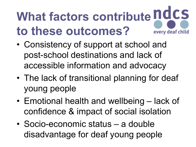#### **What factors contribute ndcs to these outcomes?** every deaf child

- Consistency of support at school and post-school destinations and lack of accessible information and advocacy
- The lack of transitional planning for deaf young people
- Emotional health and wellbeing lack of confidence & impact of social isolation
- Socio-economic status a double disadvantage for deaf young people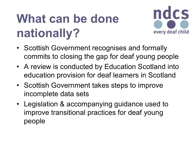# **What can be done nationally?**



- Scottish Government recognises and formally commits to closing the gap for deaf young people
- A review is conducted by Education Scotland into education provision for deaf learners in Scotland
- Scottish Government takes steps to improve incomplete data sets
- Legislation & accompanying guidance used to improve transitional practices for deaf young people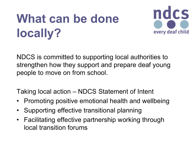# **What can be done locally?**



NDCS is committed to supporting local authorities to strengthen how they support and prepare deaf young people to move on from school.

Taking local action – NDCS Statement of Intent

- Promoting positive emotional health and wellbeing
- Supporting effective transitional planning
- Facilitating effective partnership working through local transition forums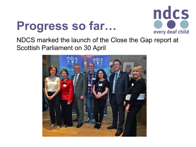### **Progress so far…**



NDCS marked the launch of the Close the Gap report at Scottish Parliament on 30 April

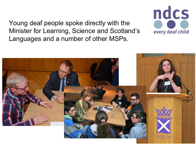Young deaf people spoke directly with the Minister for Learning, Science and Scotland's Languages and a number of other MSPs.



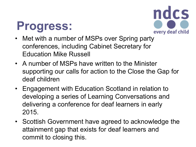### **Progress:**



- Met with a number of MSPs over Spring party conferences, including Cabinet Secretary for Education Mike Russell
- A number of MSPs have written to the Minister supporting our calls for action to the Close the Gap for deaf children
- Engagement with Education Scotland in relation to developing a series of Learning Conversations and delivering a conference for deaf learners in early 2015.
- Scottish Government have agreed to acknowledge the attainment gap that exists for deaf learners and commit to closing this.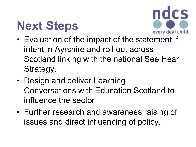## **Next Steps**



- Evaluation of the impact of the statement if intent in Ayrshire and roll out across Scotland linking with the national See Hear Strategy.
- Design and deliver Learning Conversations with Education Scotland to influence the sector
- Further research and awareness raising of issues and direct influencing of policy.